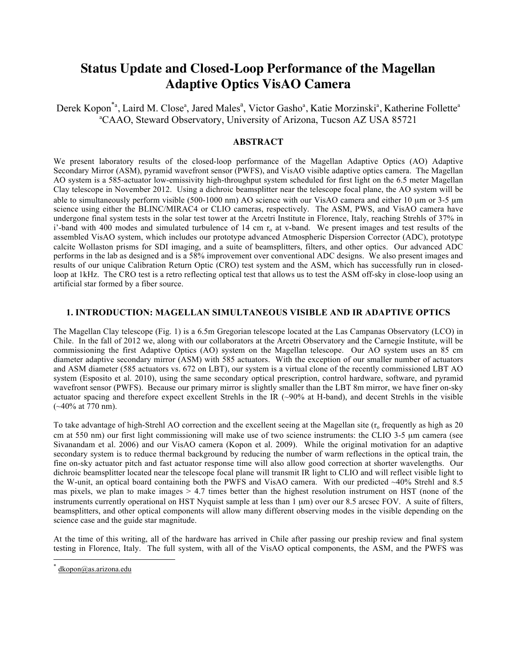# **Status Update and Closed-Loop Performance of the Magellan Adaptive Optics VisAO Camera**

Derek Kopon<sup>\*a</sup>, Laird M. Close<sup>a</sup>, Jared Males<sup>a</sup>, Victor Gasho<sup>a</sup>, Katie Morzinski<sup>a</sup>, Katherine Follette<sup>a</sup> a CAAO, Steward Observatory, University of Arizona, Tucson AZ USA 85721

# **ABSTRACT**

We present laboratory results of the closed-loop performance of the Magellan Adaptive Optics (AO) Adaptive Secondary Mirror (ASM), pyramid wavefront sensor (PWFS), and VisAO visible adaptive optics camera. The Magellan AO system is a 585-actuator low-emissivity high-throughput system scheduled for first light on the 6.5 meter Magellan Clay telescope in November 2012. Using a dichroic beamsplitter near the telescope focal plane, the AO system will be able to simultaneously perform visible (500-1000 nm) AO science with our VisAO camera and either 10 µm or 3-5 µm science using either the BLINC/MIRAC4 or CLIO cameras, respectively. The ASM, PWS, and VisAO camera have undergone final system tests in the solar test tower at the Arcetri Institute in Florence, Italy, reaching Strehls of 37% in i'-band with 400 modes and simulated turbulence of 14 cm  $r<sub>o</sub>$  at v-band. We present images and test results of the assembled VisAO system, which includes our prototype advanced Atmospheric Dispersion Corrector (ADC), prototype calcite Wollaston prisms for SDI imaging, and a suite of beamsplitters, filters, and other optics. Our advanced ADC performs in the lab as designed and is a 58% improvement over conventional ADC designs. We also present images and results of our unique Calibration Return Optic (CRO) test system and the ASM, which has successfully run in closedloop at 1kHz. The CRO test is a retro reflecting optical test that allows us to test the ASM off-sky in close-loop using an artificial star formed by a fiber source.

# **1. INTRODUCTION: MAGELLAN SIMULTANEOUS VISIBLE AND IR ADAPTIVE OPTICS**

The Magellan Clay telescope (Fig. 1) is a 6.5m Gregorian telescope located at the Las Campanas Observatory (LCO) in Chile. In the fall of 2012 we, along with our collaborators at the Arcetri Observatory and the Carnegie Institute, will be commissioning the first Adaptive Optics (AO) system on the Magellan telescope. Our AO system uses an 85 cm diameter adaptive secondary mirror (ASM) with 585 actuators. With the exception of our smaller number of actuators and ASM diameter (585 actuators vs. 672 on LBT), our system is a virtual clone of the recently commissioned LBT AO system (Esposito et al. 2010), using the same secondary optical prescription, control hardware, software, and pyramid wavefront sensor (PWFS). Because our primary mirror is slightly smaller than the LBT 8m mirror, we have finer on-sky actuator spacing and therefore expect excellent Strehls in the IR (~90% at H-band), and decent Strehls in the visible  $(-40\% \text{ at } 770 \text{ nm}).$ 

To take advantage of high-Strehl AO correction and the excellent seeing at the Magellan site  $(r_0$  frequently as high as 20 cm at 550 nm) our first light commissioning will make use of two science instruments: the CLIO 3-5 µm camera (see Sivanandam et al. 2006) and our VisAO camera (Kopon et al. 2009). While the original motivation for an adaptive secondary system is to reduce thermal background by reducing the number of warm reflections in the optical train, the fine on-sky actuator pitch and fast actuator response time will also allow good correction at shorter wavelengths. Our dichroic beamsplitter located near the telescope focal plane will transmit IR light to CLIO and will reflect visible light to the W-unit, an optical board containing both the PWFS and VisAO camera. With our predicted ~40% Strehl and 8.5 mas pixels, we plan to make images  $> 4.7$  times better than the highest resolution instrument on HST (none of the instruments currently operational on HST Nyquist sample at less than 1  $\mu$ m) over our 8.5 arcsec FOV. A suite of filters, beamsplitters, and other optical components will allow many different observing modes in the visible depending on the science case and the guide star magnitude.

At the time of this writing, all of the hardware has arrived in Chile after passing our preship review and final system testing in Florence, Italy. The full system, with all of the VisAO optical components, the ASM, and the PWFS was

dkopon@as.arizona.edu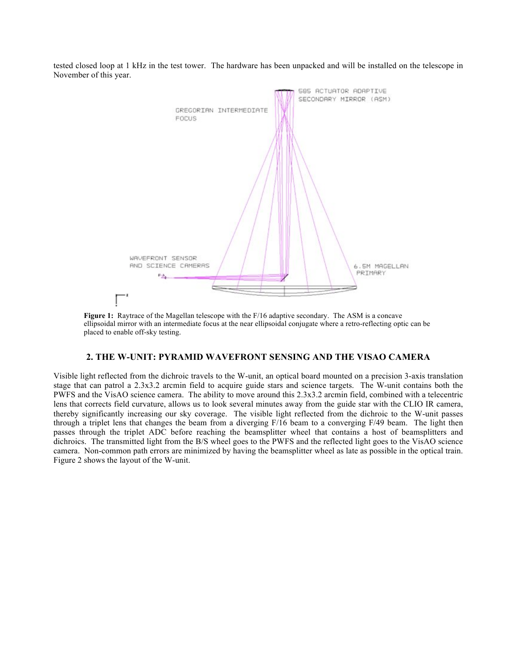tested closed loop at 1 kHz in the test tower. The hardware has been unpacked and will be installed on the telescope in November of this year.



**Figure 1:** Raytrace of the Magellan telescope with the F/16 adaptive secondary. The ASM is a concave ellipsoidal mirror with an intermediate focus at the near ellipsoidal conjugate where a retro-reflecting optic can be placed to enable off-sky testing.

# **2. THE W-UNIT: PYRAMID WAVEFRONT SENSING AND THE VISAO CAMERA**

Visible light reflected from the dichroic travels to the W-unit, an optical board mounted on a precision 3-axis translation stage that can patrol a 2.3x3.2 arcmin field to acquire guide stars and science targets. The W-unit contains both the PWFS and the VisAO science camera. The ability to move around this 2.3x3.2 arcmin field, combined with a telecentric lens that corrects field curvature, allows us to look several minutes away from the guide star with the CLIO IR camera, thereby significantly increasing our sky coverage. The visible light reflected from the dichroic to the W-unit passes through a triplet lens that changes the beam from a diverging F/16 beam to a converging F/49 beam. The light then passes through the triplet ADC before reaching the beamsplitter wheel that contains a host of beamsplitters and dichroics. The transmitted light from the B/S wheel goes to the PWFS and the reflected light goes to the VisAO science camera. Non-common path errors are minimized by having the beamsplitter wheel as late as possible in the optical train. Figure 2 shows the layout of the W-unit.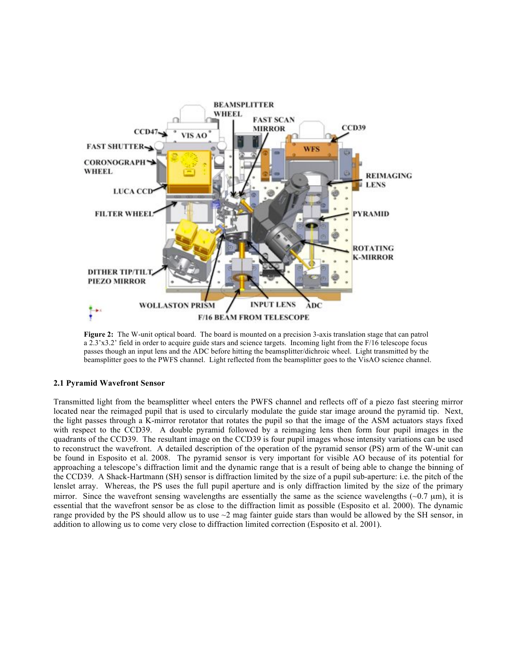

**Figure 2:** The W-unit optical board. The board is mounted on a precision 3-axis translation stage that can patrol a 2.3'x3.2' field in order to acquire guide stars and science targets. Incoming light from the F/16 telescope focus passes though an input lens and the ADC before hitting the beamsplitter/dichroic wheel. Light transmitted by the beamsplitter goes to the PWFS channel. Light reflected from the beamsplitter goes to the VisAO science channel.

# **2.1 Pyramid Wavefront Sensor**

Transmitted light from the beamsplitter wheel enters the PWFS channel and reflects off of a piezo fast steering mirror located near the reimaged pupil that is used to circularly modulate the guide star image around the pyramid tip. Next, the light passes through a K-mirror rerotator that rotates the pupil so that the image of the ASM actuators stays fixed with respect to the CCD39. A double pyramid followed by a reimaging lens then form four pupil images in the quadrants of the CCD39. The resultant image on the CCD39 is four pupil images whose intensity variations can be used to reconstruct the wavefront. A detailed description of the operation of the pyramid sensor (PS) arm of the W-unit can be found in Esposito et al. 2008. The pyramid sensor is very important for visible AO because of its potential for approaching a telescope's diffraction limit and the dynamic range that is a result of being able to change the binning of the CCD39. A Shack-Hartmann (SH) sensor is diffraction limited by the size of a pupil sub-aperture: i.e. the pitch of the lenslet array. Whereas, the PS uses the full pupil aperture and is only diffraction limited by the size of the primary mirror. Since the wavefront sensing wavelengths are essentially the same as the science wavelengths  $(-0.7 \text{ µm})$ , it is essential that the wavefront sensor be as close to the diffraction limit as possible (Esposito et al. 2000). The dynamic range provided by the PS should allow us to use  $\sim$ 2 mag fainter guide stars than would be allowed by the SH sensor, in addition to allowing us to come very close to diffraction limited correction (Esposito et al. 2001).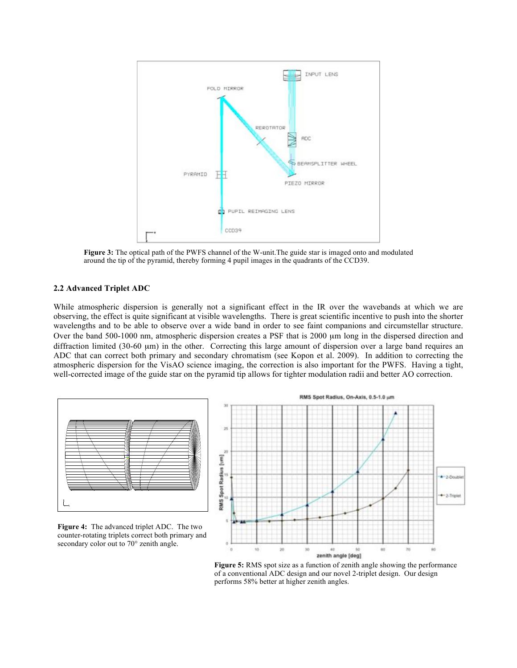

**Figure 3:** The optical path of the PWFS channel of the W-unit.The guide star is imaged onto and modulated around the tip of the pyramid, thereby forming 4 pupil images in the quadrants of the CCD39.

#### **2.2 Advanced Triplet ADC**

While atmospheric dispersion is generally not a significant effect in the IR over the wavebands at which we are observing, the effect is quite significant at visible wavelengths. There is great scientific incentive to push into the shorter wavelengths and to be able to observe over a wide band in order to see faint companions and circumstellar structure. Over the band 500-1000 nm, atmospheric dispersion creates a PSF that is 2000 µm long in the dispersed direction and diffraction limited (30-60 µm) in the other. Correcting this large amount of dispersion over a large band requires an ADC that can correct both primary and secondary chromatism (see Kopon et al. 2009). In addition to correcting the atmospheric dispersion for the VisAO science imaging, the correction is also important for the PWFS. Having a tight, well-corrected image of the guide star on the pyramid tip allows for tighter modulation radii and better AO correction.



**Figure 4:** The advanced triplet ADC. The two counter-rotating triplets correct both primary and secondary color out to 70° zenith angle.



**Figure 5:** RMS spot size as a function of zenith angle showing the performance of a conventional ADC design and our novel 2-triplet design. Our design performs 58% better at higher zenith angles.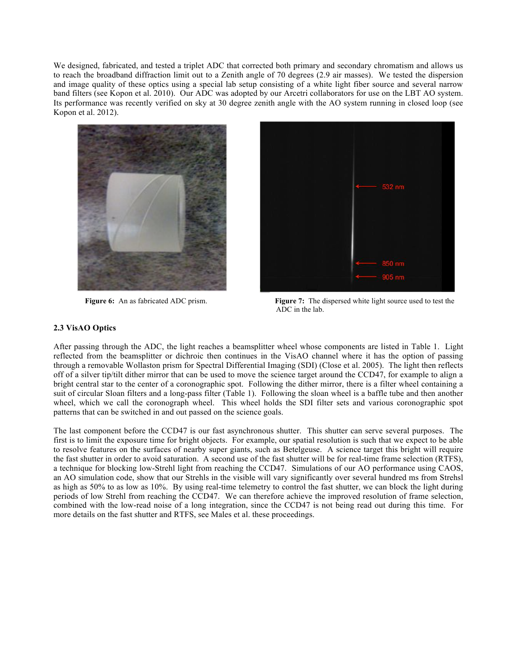We designed, fabricated, and tested a triplet ADC that corrected both primary and secondary chromatism and allows us to reach the broadband diffraction limit out to a Zenith angle of 70 degrees (2.9 air masses). We tested the dispersion and image quality of these optics using a special lab setup consisting of a white light fiber source and several narrow band filters (see Kopon et al. 2010). Our ADC was adopted by our Arcetri collaborators for use on the LBT AO system. Its performance was recently verified on sky at 30 degree zenith angle with the AO system running in closed loop (see Kopon et al. 2012).





**Figure 6:** An as fabricated ADC prism. **Figure 7:** The dispersed white light source used to test the ADC in the lab.

#### **2.3 VisAO Optics**

After passing through the ADC, the light reaches a beamsplitter wheel whose components are listed in Table 1. Light reflected from the beamsplitter or dichroic then continues in the VisAO channel where it has the option of passing through a removable Wollaston prism for Spectral Differential Imaging (SDI) (Close et al. 2005). The light then reflects off of a silver tip/tilt dither mirror that can be used to move the science target around the CCD47, for example to align a bright central star to the center of a coronographic spot. Following the dither mirror, there is a filter wheel containing a suit of circular Sloan filters and a long-pass filter (Table 1). Following the sloan wheel is a baffle tube and then another wheel, which we call the coronograph wheel. This wheel holds the SDI filter sets and various coronographic spot patterns that can be switched in and out passed on the science goals.

The last component before the CCD47 is our fast asynchronous shutter. This shutter can serve several purposes. The first is to limit the exposure time for bright objects. For example, our spatial resolution is such that we expect to be able to resolve features on the surfaces of nearby super giants, such as Betelgeuse. A science target this bright will require the fast shutter in order to avoid saturation. A second use of the fast shutter will be for real-time frame selection (RTFS), a technique for blocking low-Strehl light from reaching the CCD47. Simulations of our AO performance using CAOS, an AO simulation code, show that our Strehls in the visible will vary significantly over several hundred ms from Strehsl as high as 50% to as low as 10%. By using real-time telemetry to control the fast shutter, we can block the light during periods of low Strehl from reaching the CCD47. We can therefore achieve the improved resolution of frame selection, combined with the low-read noise of a long integration, since the CCD47 is not being read out during this time. For more details on the fast shutter and RTFS, see Males et al. these proceedings.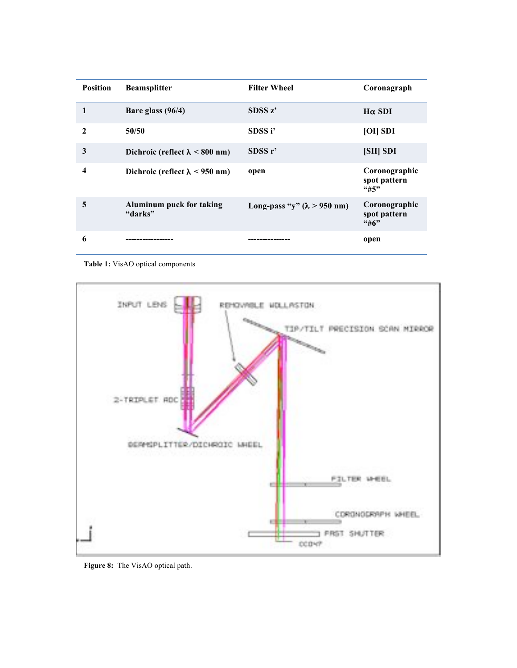| <b>Position</b> | <b>Beamsplitter</b>                   | <b>Filter Wheel</b>                | Coronagraph                          |
|-----------------|---------------------------------------|------------------------------------|--------------------------------------|
| 1               | Bare glass $(96/4)$                   | SDSS z'                            | $H\alpha$ SDI                        |
| $\mathbf{2}$    | 50/50                                 | SDSS i'                            | [OII SDI]                            |
| 3               | Dichroic (reflect $\lambda$ < 800 nm) | SDSS r                             | [SII] SDI                            |
| 4               | Dichroic (reflect $\lambda$ < 950 nm) | open                               | Coronographic<br>spot pattern<br>45" |
| 5               | Aluminum puck for taking<br>"darks"   | Long-pass "y" $(\lambda > 950$ nm) | Coronographic<br>spot pattern<br>46  |
| 6               |                                       |                                    | open                                 |

**Table 1:** VisAO optical components



**Figure 8:** The VisAO optical path.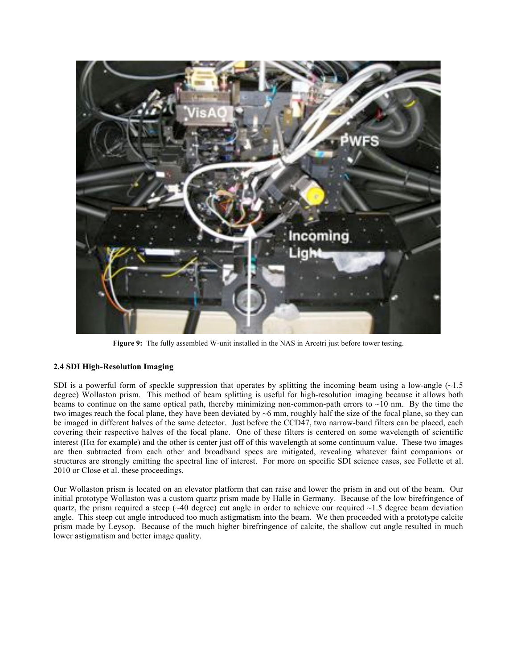

**Figure 9:**The fully assembled W-unit installed in the NAS in Arcetri just before tower testing.

# **2.4 SDI High-Resolution Imaging**

SDI is a powerful form of speckle suppression that operates by splitting the incoming beam using a low-angle  $(\sim 1.5$ degree) Wollaston prism. This method of beam splitting is useful for high-resolution imaging because it allows both beams to continue on the same optical path, thereby minimizing non-common-path errors to ~10 nm. By the time the two images reach the focal plane, they have been deviated by ~6 mm, roughly half the size of the focal plane, so they can be imaged in different halves of the same detector. Just before the CCD47, two narrow-band filters can be placed, each covering their respective halves of the focal plane. One of these filters is centered on some wavelength of scientific interest (H $\alpha$  for example) and the other is center just off of this wavelength at some continuum value. These two images are then subtracted from each other and broadband specs are mitigated, revealing whatever faint companions or structures are strongly emitting the spectral line of interest. For more on specific SDI science cases, see Follette et al. 2010 or Close et al. these proceedings.

Our Wollaston prism is located on an elevator platform that can raise and lower the prism in and out of the beam. Our initial prototype Wollaston was a custom quartz prism made by Halle in Germany. Because of the low birefringence of quartz, the prism required a steep ( $\sim$ 40 degree) cut angle in order to achieve our required  $\sim$ 1.5 degree beam deviation angle. This steep cut angle introduced too much astigmatism into the beam. We then proceeded with a prototype calcite prism made by Leysop. Because of the much higher birefringence of calcite, the shallow cut angle resulted in much lower astigmatism and better image quality.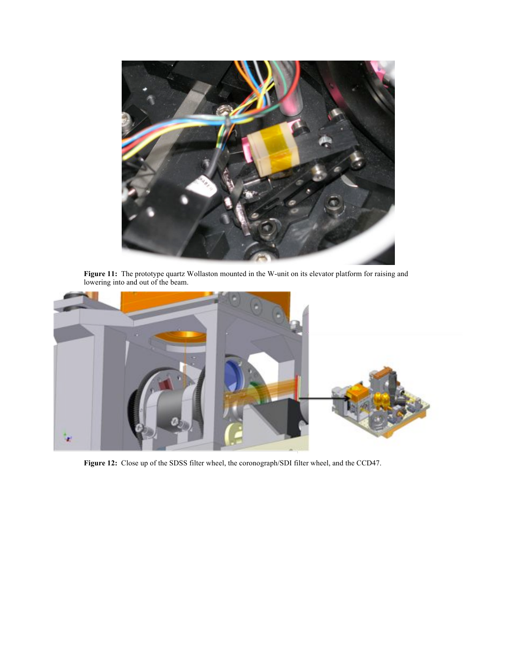

**Figure 11:** The prototype quartz Wollaston mounted in the W-unit on its elevator platform for raising and lowering into and out of the beam.



**Figure 12:** Close up of the SDSS filter wheel, the coronograph/SDI filter wheel, and the CCD47.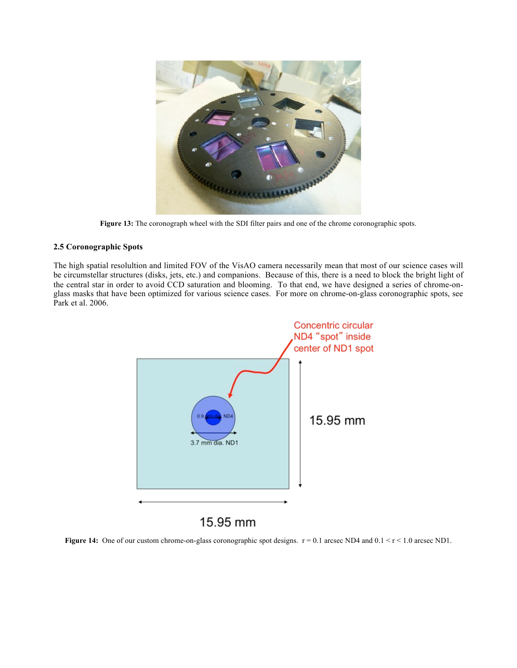

Figure 13: The coronograph wheel with the SDI filter pairs and one of the chrome coronographic spots.

#### **2.5 Coronographic Spots**

The high spatial resolultion and limited FOV of the VisAO camera necessarily mean that most of our science cases will be circumstellar structures (disks, jets, etc.) and companions. Because of this, there is a need to block the bright light of the central star in order to avoid CCD saturation and blooming. To that end, we have designed a series of chrome-onglass masks that have been optimized for various science cases. For more on chrome-on-glass coronographic spots, see Park et al. 2006.



15.95 mm

**Figure 14:** One of our custom chrome-on-glass coronographic spot designs.  $r = 0.1$  arcsec ND4 and  $0.1 < r < 1.0$  arcsec ND1.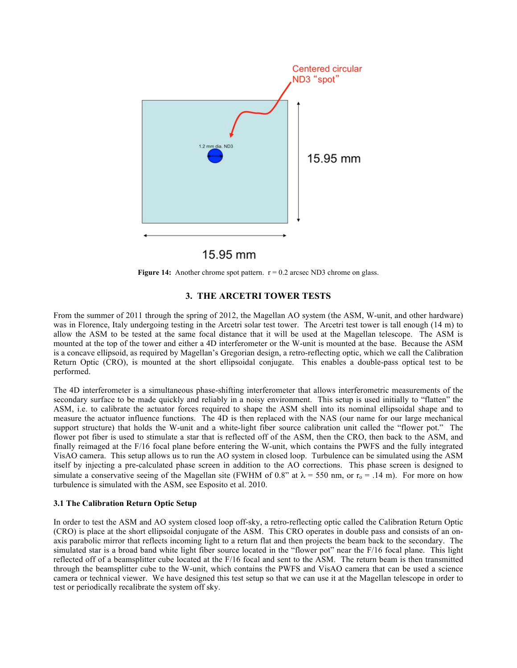

**Figure 14:** Another chrome spot pattern.  $r = 0.2$  arcsec ND3 chrome on glass.

#### **3. THE ARCETRI TOWER TESTS**

From the summer of 2011 through the spring of 2012, the Magellan AO system (the ASM, W-unit, and other hardware) was in Florence, Italy undergoing testing in the Arcetri solar test tower. The Arcetri test tower is tall enough (14 m) to allow the ASM to be tested at the same focal distance that it will be used at the Magellan telescope. The ASM is mounted at the top of the tower and either a 4D interferometer or the W-unit is mounted at the base. Because the ASM is a concave ellipsoid, as required by Magellan's Gregorian design, a retro-reflecting optic, which we call the Calibration Return Optic (CRO), is mounted at the short ellipsoidal conjugate. This enables a double-pass optical test to be performed.

The 4D interferometer is a simultaneous phase-shifting interferometer that allows interferometric measurements of the secondary surface to be made quickly and reliably in a noisy environment. This setup is used initially to "flatten" the ASM, i.e. to calibrate the actuator forces required to shape the ASM shell into its nominal ellipsoidal shape and to measure the actuator influence functions. The 4D is then replaced with the NAS (our name for our large mechanical support structure) that holds the W-unit and a white-light fiber source calibration unit called the "flower pot." The flower pot fiber is used to stimulate a star that is reflected off of the ASM, then the CRO, then back to the ASM, and finally reimaged at the F/16 focal plane before entering the W-unit, which contains the PWFS and the fully integrated VisAO camera. This setup allows us to run the AO system in closed loop. Turbulence can be simulated using the ASM itself by injecting a pre-calculated phase screen in addition to the AO corrections. This phase screen is designed to simulate a conservative seeing of the Magellan site (FWHM of 0.8" at  $\lambda$  = 550 nm, or r<sub>o</sub> = .14 m). For more on how turbulence is simulated with the ASM, see Esposito et al. 2010.

#### **3.1 The Calibration Return Optic Setup**

In order to test the ASM and AO system closed loop off-sky, a retro-reflecting optic called the Calibration Return Optic (CRO) is place at the short ellipsoidal conjugate of the ASM. This CRO operates in double pass and consists of an onaxis parabolic mirror that reflects incoming light to a return flat and then projects the beam back to the secondary. The simulated star is a broad band white light fiber source located in the "flower pot" near the F/16 focal plane. This light reflected off of a beamsplitter cube located at the F/16 focal and sent to the ASM. The return beam is then transmitted through the beamsplitter cube to the W-unit, which contains the PWFS and VisAO camera that can be used a science camera or technical viewer. We have designed this test setup so that we can use it at the Magellan telescope in order to test or periodically recalibrate the system off sky.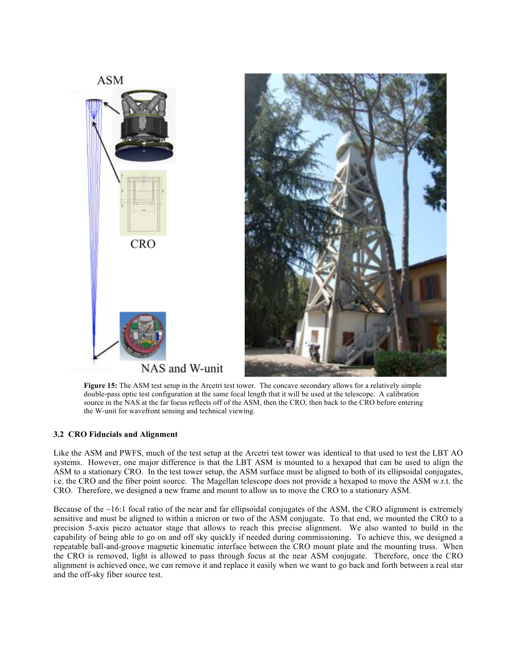

Figure 15: The ASM test setup in the Arcetri test tower. The concave secondary allows for a relatively simple double-pass optic test configuration at the same focal length that it will be used at the telescope. A calibration source in the NAS at the far focus reflects off of the ASM, then the CRO, then back to the CRO before entering the W-unit for wavefront sensing and technical viewing.

#### **3.2 CRO Fiducials and Alignment**

Like the ASM and PWFS, much of the test setup at the Arcetri test tower was identical to that used to test the LBT AO systems. However, one major difference is that the LBT ASM is mounted to a hexapod that can be used to align the ASM to a stationary CRO. In the test tower setup, the ASM surface must be aligned to both of its ellipsoidal conjugates, i.e. the CRO and the fiber point source. The Magellan telescope does not provide a hexapod to move the ASM w.r.t. the CRO. Therefore, we designed a new frame and mount to allow us to move the CRO to a stationary ASM.

Because of the  $\sim$ 16:1 focal ratio of the near and far ellipsoidal conjugates of the ASM, the CRO alignment is extremely sensitive and must be aligned to within a micron or two of the ASM conjugate. To that end, we mounted the CRO to a precision 5-axis piezo actuator stage that allows to reach this precise alignment. We also wanted to build in the capability of being able to go on and off sky quickly if needed during commissioning. To achieve this, we designed a repeatable ball-and-groove magnetic kinematic interface between the CRO mount plate and the mounting truss. When the CRO is removed, light is allowed to pass through focus at the near ASM conjugate. Therefore, once the CRO alignment is achieved once, we can remove it and replace it easily when we want to go back and forth between a real star and the off-sky fiber source test.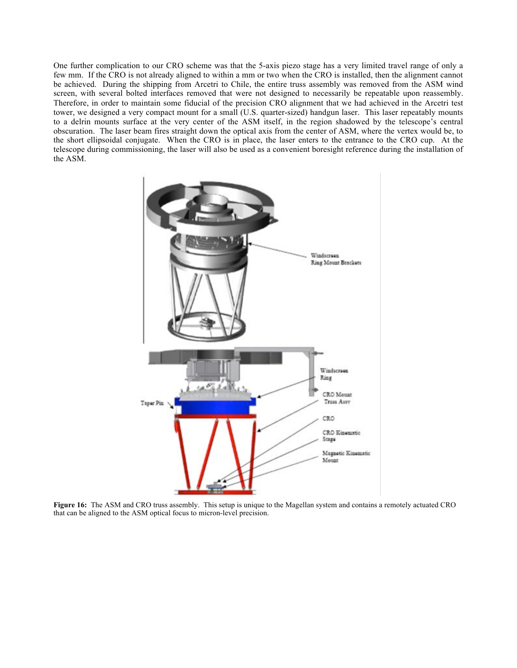One further complication to our CRO scheme was that the 5-axis piezo stage has a very limited travel range of only a few mm. If the CRO is not already aligned to within a mm or two when the CRO is installed, then the alignment cannot be achieved. During the shipping from Arcetri to Chile, the entire truss assembly was removed from the ASM wind screen, with several bolted interfaces removed that were not designed to necessarily be repeatable upon reassembly. Therefore, in order to maintain some fiducial of the precision CRO alignment that we had achieved in the Arcetri test tower, we designed a very compact mount for a small (U.S. quarter-sized) handgun laser. This laser repeatably mounts to a delrin mounts surface at the very center of the ASM itself, in the region shadowed by the telescope's central obscuration. The laser beam fires straight down the optical axis from the center of ASM, where the vertex would be, to the short ellipsoidal conjugate. When the CRO is in place, the laser enters to the entrance to the CRO cup. At the telescope during commissioning, the laser will also be used as a convenient boresight reference during the installation of the ASM.



**Figure 16:** The ASM and CRO truss assembly. This setup is unique to the Magellan system and contains a remotely actuated CRO that can be aligned to the ASM optical focus to micron-level precision.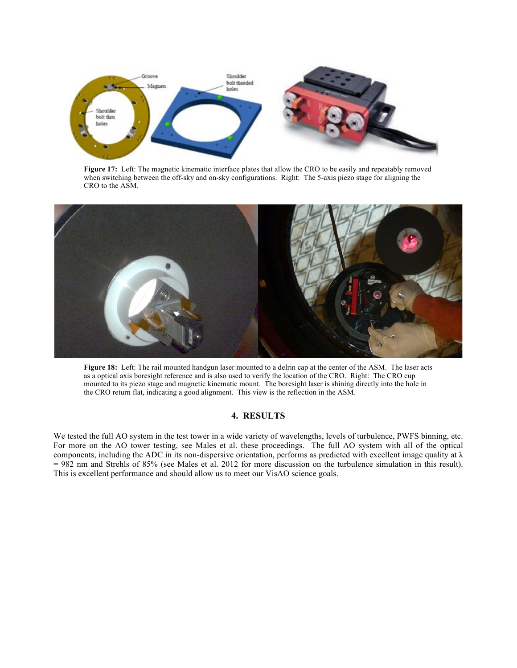

**Figure 17:** Left: The magnetic kinematic interface plates that allow the CRO to be easily and repeatably removed when switching between the off-sky and on-sky configurations. Right: The 5-axis piezo stage for aligning the CRO to the ASM.



**Figure 18:** Left: The rail mounted handgun laser mounted to a delrin cap at the center of the ASM. The laser acts as a optical axis boresight reference and is also used to verify the location of the CRO. Right: The CRO cup mounted to its piezo stage and magnetic kinematic mount. The boresight laser is shining directly into the hole in the CRO return flat, indicating a good alignment. This view is the reflection in the ASM.

#### **4. RESULTS**

We tested the full AO system in the test tower in a wide variety of wavelengths, levels of turbulence, PWFS binning, etc. For more on the AO tower testing, see Males et al. these proceedings. The full AO system with all of the optical components, including the ADC in its non-dispersive orientation, performs as predicted with excellent image quality at  $\lambda$ = 982 nm and Strehls of 85% (see Males et al. 2012 for more discussion on the turbulence simulation in this result). This is excellent performance and should allow us to meet our VisAO science goals.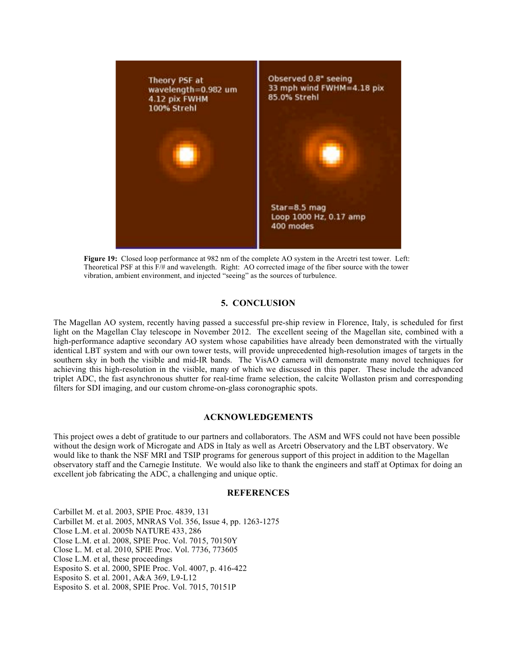

**Figure 19:** Closed loop performance at 982 nm of the complete AO system in the Arcetri test tower. Left: Theoretical PSF at this F/# and wavelength. Right: AO corrected image of the fiber source with the tower vibration, ambient environment, and injected "seeing" as the sources of turbulence.

### **5. CONCLUSION**

The Magellan AO system, recently having passed a successful pre-ship review in Florence, Italy, is scheduled for first light on the Magellan Clay telescope in November 2012. The excellent seeing of the Magellan site, combined with a high-performance adaptive secondary AO system whose capabilities have already been demonstrated with the virtually identical LBT system and with our own tower tests, will provide unprecedented high-resolution images of targets in the southern sky in both the visible and mid-IR bands. The VisAO camera will demonstrate many novel techniques for achieving this high-resolution in the visible, many of which we discussed in this paper. These include the advanced triplet ADC, the fast asynchronous shutter for real-time frame selection, the calcite Wollaston prism and corresponding filters for SDI imaging, and our custom chrome-on-glass coronographic spots.

#### **ACKNOWLEDGEMENTS**

This project owes a debt of gratitude to our partners and collaborators. The ASM and WFS could not have been possible without the design work of Microgate and ADS in Italy as well as Arcetri Observatory and the LBT observatory. We would like to thank the NSF MRI and TSIP programs for generous support of this project in addition to the Magellan observatory staff and the Carnegie Institute. We would also like to thank the engineers and staff at Optimax for doing an excellent job fabricating the ADC, a challenging and unique optic.

#### **REFERENCES**

Carbillet M. et al. 2003, SPIE Proc. 4839, 131 Carbillet M. et al. 2005, MNRAS Vol. 356, Issue 4, pp. 1263-1275 Close L.M. et al. 2005b NATURE 433, 286 Close L.M. et al. 2008, SPIE Proc. Vol. 7015, 70150Y Close L. M. et al. 2010, SPIE Proc. Vol. 7736, 773605 Close L.M. et al, these proceedings Esposito S. et al. 2000, SPIE Proc. Vol. 4007, p. 416-422 Esposito S. et al. 2001, A&A 369, L9-L12 Esposito S. et al. 2008, SPIE Proc. Vol. 7015, 70151P